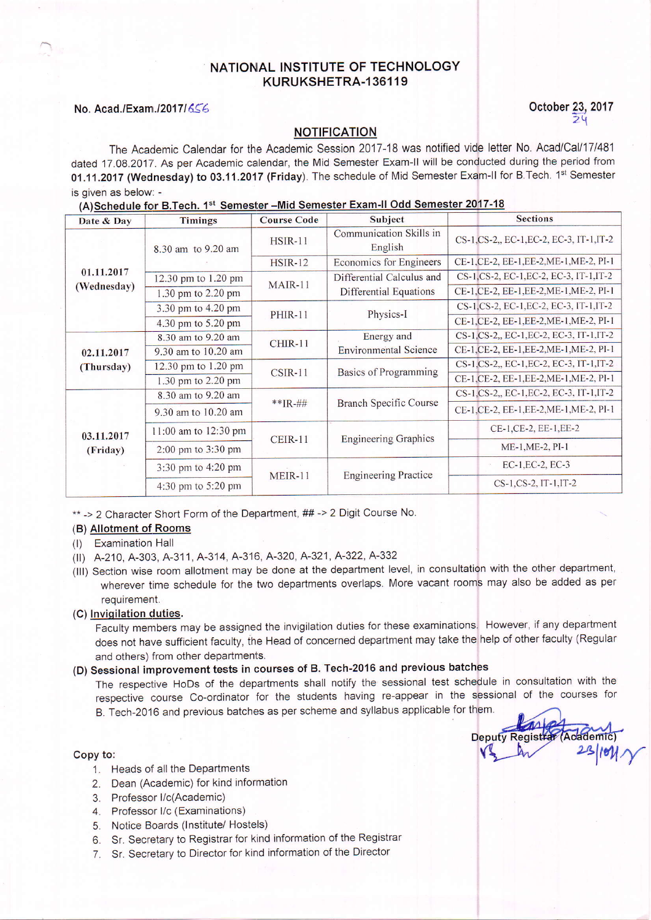# NATIONAL INSTITUTE OF TECHNOLOGY KURUKSHETRA.136119

# $\overline{2}$

 $23$ /*lell*  $\gamma$ 

**Deputy Registrar** 

## No. Acad./Exam./2017/656 Corober 23, 2017

## NOTIFICATION

The Academic Calendar for the Academic Session 2017-18 was notified vide letter No. Acad/Cal/17l48'l dated 17.08.2017. As per Academic calendar, the Mid Semester Exam-II will be conducted during the period from 01.11.2017 (Wednesday) to 03.11.2017 (Friday). The schedule of Mid Semester Exam-II for B.Tech. 1st Semester is given as below: -

#### (A)Schedule for B.Tech. 1st Semester -Mid Semester Exam-II Odd Semester 2017-18

| Date & Day  | <b>Timings</b>       | <b>Course Code</b> | Subject                            | <b>Sections</b>                           |
|-------------|----------------------|--------------------|------------------------------------|-------------------------------------------|
|             | 8.30 am to 9.20 am   | <b>HSIR-11</b>     | Communication Skills in<br>English | CS-1, CS-2,, EC-1, EC-2, EC-3, IT-1, IT-2 |
|             |                      | <b>HSIR-12</b>     | Economics for Engineers            | CE-1, CE-2, EE-1, EE-2, ME-1, ME-2, PI-1  |
| 01.11.2017  | 12.30 pm to 1.20 pm  | MAIR-11            | Differential Calculus and          | CS-1, CS-2, EC-1, EC-2, EC-3, IT-1, IT-2  |
| (Wednesday) | 1.30 pm to 2.20 pm   |                    | Differential Equations             | CE-1, CE-2, EE-1, EE-2, ME-1, ME-2, PI-1  |
|             | 3.30 pm to 4.20 pm   | <b>PHIR-11</b>     | Physics-I                          | CS-1, CS-2, EC-1, EC-2, EC-3, IT-1, IT-2  |
|             | 4.30 pm to 5.20 pm   |                    |                                    | CE-1, CE-2, EE-1, EE-2, ME-1, ME-2, PI-1  |
|             | 8.30 am to 9.20 am   | $CHIR-11$          | Energy and                         | CS-1, CS-2,, EC-1, EC-2, EC-3, IT-1, IT-2 |
| 02.11.2017  | 9.30 am to 10.20 am  |                    | <b>Environmental Science</b>       | CE-1, CE-2, EE-1, EE-2, ME-1, ME-2, PI-1  |
| (Thursday)  | 12.30 pm to 1.20 pm  | $CSIR-11$          | Basics of Programming              | CS-1, CS-2,, EC-1, EC-2, EC-3, IT-1, IT-2 |
|             | 1.30 pm to 2.20 pm   |                    |                                    | CE-1, CE-2, EE-1, EE-2, ME-1, ME-2, PI-1  |
|             | 8.30 am to 9.20 am   |                    |                                    | CS-1,CS-2,, EC-1,EC-2, EC-3, IT-1,IT-2    |
|             | 9.30 am to 10.20 am  | $**[R - #]]$       | <b>Branch Specific Course</b>      | CE-1, CE-2, EE-1, EE-2, ME-1, ME-2, PI-1  |
| 03.11.2017  | 11:00 am to 12:30 pm |                    |                                    | CE-1, CE-2, EE-1, EE-2                    |
| (Friday)    | 2:00 pm to 3:30 pm   | CEIR-11            | <b>Engineering Graphics</b>        | ME-1, ME-2, PI-1                          |
|             | 3:30 pm to 4:20 pm   |                    |                                    | $EC-1, EC-2, EC-3$                        |
|             | 4:30 pm to 5:20 pm   | <b>MEIR-11</b>     | <b>Engineering Practice</b>        | CS-1, CS-2, IT-1, IT-2                    |

\*\* -> 2 Character Short Form of the Department, ## -> 2 Digit Course No.

### (B) Allotment of Rooms

(l) Examination Hall

- (lr) A-210, 4-303, A-311, A-314, A-316, 4-320, A-321, A-322, A-332
- flll) Section wise room allotment may be done at the department level, in consultation with the other department, wherever time schedule for the two departments overlaps. More vacant rooms may also be added as per requirement.

#### (C) Invigilation duties.

Faculty members may be assigned the invigilation duties for these examinations. However, if any department does not have sufficient faculty, the Head of concerned department may take the help of other faculty (Regular and others) from other departments.

# (D) Sessional improvement tests in courses of B. Tech-20'16 and previous batches

The respective HoDs of the departments shall notify the sessional test schedule in consultation with the respective course Co-ordinator for the students having re-appear in the sessional of the courses for B. Tech-2o16 and previous batches as per scheme and syllabus applicable for them

#### Copy to:

- 1. Heads of all the Departments
- 2. Dean (Academic) for kind information
- 3. Professor I/c(Academic)
- 4. Professor l/c (Examinations)
- 5. Notice Boards (lnstitute/ Hostels)
- 6. Sr. Secretary to Registrar for kind information of the Registrar
- 7. Sr. Secretary to Director for kind information of the Director